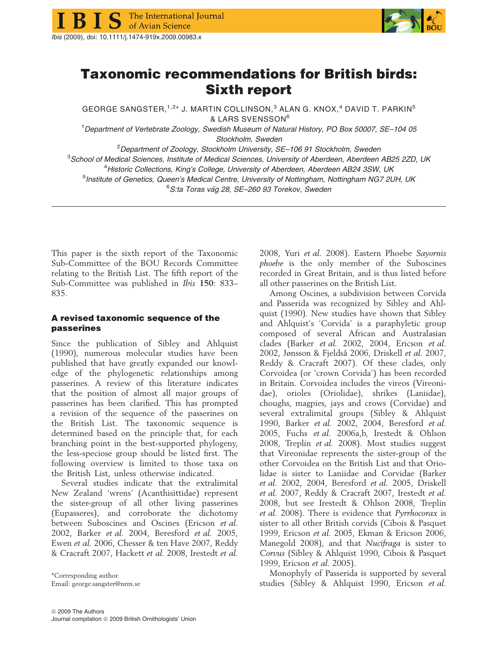





## Taxonomic recommendations for British birds: Sixth report

GEORGE SANGSTER,<sup>1,2\*</sup> J. MARTIN COLLINSON,<sup>3</sup> ALAN G. KNOX,<sup>4</sup> DAVID T. PARKIN<sup>5</sup> & LARS SVENSSON<sup>6</sup>

<sup>1</sup>Department of Vertebrate Zoology, Swedish Museum of Natural History, PO Box 50007, SE-104 05 Stockholm, Sweden

<sup>2</sup>Department of Zoology, Stockholm University, SE-106 91 Stockholm, Sweden

<sup>3</sup>School of Medical Sciences, Institute of Medical Sciences, University of Aberdeen, Aberdeen AB25 2ZD, UK <sup>4</sup>Historic Collections, King's College, University of Aberdeen, Aberdeen AB24 3SW, UK

<sup>5</sup>Institute of Genetics, Queen's Medical Centre, University of Nottingham, Nottingham NG7 2UH, UK

<sup>6</sup>S:ta Toras väg 28, SE–260 93 Torekov, Sweden

This paper is the sixth report of the Taxonomic Sub-Committee of the BOU Records Committee relating to the British List. The fifth report of the Sub-Committee was published in Ibis 150: 833– 835.

## A revised taxonomic sequence of the passerines

Since the publication of Sibley and Ahlquist (1990), numerous molecular studies have been published that have greatly expanded our knowledge of the phylogenetic relationships among passerines. A review of this literature indicates that the position of almost all major groups of passerines has been clarified. This has prompted a revision of the sequence of the passerines on the British List. The taxonomic sequence is determined based on the principle that, for each branching point in the best-supported phylogeny, the less-speciose group should be listed first. The following overview is limited to those taxa on the British List, unless otherwise indicated.

Several studies indicate that the extralimital New Zealand 'wrens' (Acanthisittidae) represent the sister-group of all other living passerines (Eupasseres), and corroborate the dichotomy between Suboscines and Oscines (Ericson et al. 2002, Barker et al. 2004, Beresford et al. 2005, Ewen et al. 2006, Chesser & ten Have 2007, Reddy & Cracraft 2007, Hackett et al. 2008, Irestedt et al.

Email: george.sangster@nrm.se

2008, Yuri et al. 2008). Eastern Phoebe Sayornis phoebe is the only member of the Suboscines recorded in Great Britain, and is thus listed before all other passerines on the British List.

Among Oscines, a subdivision between Corvida and Passerida was recognized by Sibley and Ahlquist (1990). New studies have shown that Sibley and Ahlquist's 'Corvida' is a paraphyletic group composed of several African and Australasian clades (Barker et al. 2002, 2004, Ericson et al. 2002, Jønsson & Fjeldså 2006, Driskell et al. 2007, Reddy & Cracraft 2007). Of these clades, only Corvoidea (or 'crown Corvida') has been recorded in Britain. Corvoidea includes the vireos (Vireonidae), orioles (Oriolidae), shrikes (Laniidae), choughs, magpies, jays and crows (Corvidae) and several extralimital groups (Sibley & Ahlquist 1990, Barker et al. 2002, 2004, Beresford et al. 2005, Fuchs et al. 2006a,b, Irestedt & Ohlson 2008, Treplin et al. 2008). Most studies suggest that Vireonidae represents the sister-group of the other Corvoidea on the British List and that Oriolidae is sister to Laniidae and Corvidae (Barker et al. 2002, 2004, Beresford et al. 2005, Driskell et al. 2007, Reddy & Cracraft 2007, Irestedt et al. 2008, but see Irestedt & Ohlson 2008, Treplin et al. 2008). There is evidence that Pyrrhocorax is sister to all other British corvids (Cibois & Pasquet 1999, Ericson et al. 2005, Ekman & Ericson 2006, Manegold 2008), and that Nucifraga is sister to Corvus (Sibley & Ahlquist 1990, Cibois & Pasquet 1999, Ericson et al. 2005).

Monophyly of Passerida is supported by several studies (Sibley & Ahlquist 1990, Ericson et al.

<sup>\*</sup>Corresponding author.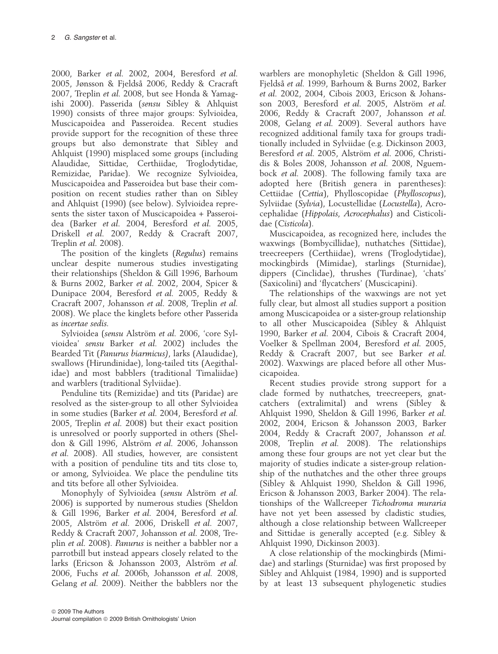2000, Barker et al. 2002, 2004, Beresford et al. 2005, Jønsson & Fjeldså 2006, Reddy & Cracraft 2007, Treplin et al. 2008, but see Honda & Yamagishi 2000). Passerida (sensu Sibley & Ahlquist 1990) consists of three major groups: Sylvioidea, Muscicapoidea and Passeroidea. Recent studies provide support for the recognition of these three groups but also demonstrate that Sibley and Ahlquist (1990) misplaced some groups (including Alaudidae, Sittidae, Certhiidae, Troglodytidae, Remizidae, Paridae). We recognize Sylvioidea, Muscicapoidea and Passeroidea but base their composition on recent studies rather than on Sibley and Ahlquist (1990) (see below). Sylvioidea represents the sister taxon of Muscicapoidea + Passeroidea (Barker et al. 2004, Beresford et al. 2005, Driskell et al. 2007, Reddy & Cracraft 2007, Treplin et al. 2008).

The position of the kinglets (Regulus) remains unclear despite numerous studies investigating their relationships (Sheldon & Gill 1996, Barhoum & Burns 2002, Barker et al. 2002, 2004, Spicer & Dunipace 2004, Beresford et al. 2005, Reddy & Cracraft 2007, Johansson et al. 2008, Treplin et al. 2008). We place the kinglets before other Passerida as incertae sedis.

Sylvioidea (sensu Alström et al. 2006, 'core Sylvioidea' sensu Barker et al. 2002) includes the Bearded Tit (Panurus biarmicus), larks (Alaudidae), swallows (Hirundinidae), long-tailed tits (Aegithalidae) and most babblers (traditional Timaliidae) and warblers (traditional Sylviidae).

Penduline tits (Remizidae) and tits (Paridae) are resolved as the sister-group to all other Sylvioidea in some studies (Barker et al. 2004, Beresford et al. 2005, Treplin et al. 2008) but their exact position is unresolved or poorly supported in others (Sheldon & Gill 1996, Alström et al. 2006, Johansson et al. 2008). All studies, however, are consistent with a position of penduline tits and tits close to, or among, Sylvioidea. We place the penduline tits and tits before all other Sylvioidea.

Monophyly of Sylvioidea (sensu Alström et al. 2006) is supported by numerous studies (Sheldon & Gill 1996, Barker et al. 2004, Beresford et al. 2005, Alström et al. 2006, Driskell et al. 2007, Reddy & Cracraft 2007, Johansson et al. 2008, Treplin et al. 2008). Panurus is neither a babbler nor a parrotbill but instead appears closely related to the larks (Ericson & Johansson 2003, Alström et al. 2006, Fuchs et al. 2006b, Johansson et al. 2008, Gelang et al. 2009). Neither the babblers nor the warblers are monophyletic (Sheldon & Gill 1996, Fjeldså et al. 1999, Barhoum & Burns 2002, Barker et al. 2002, 2004, Cibois 2003, Ericson & Johansson 2003, Beresford et al. 2005, Alström et al. 2006, Reddy & Cracraft 2007, Johansson et al. 2008, Gelang et al. 2009). Several authors have recognized additional family taxa for groups traditionally included in Sylviidae (e.g. Dickinson 2003, Beresford et al. 2005, Alström et al. 2006, Christidis & Boles 2008, Johansson et al. 2008, Nguembock et al. 2008). The following family taxa are adopted here (British genera in parentheses): Cettiidae (Cettia), Phylloscopidae (Phylloscopus), Sylviidae (Sylvia), Locustellidae (Locustella), Acrocephalidae (Hippolais, Acrocephalus) and Cisticolidae (Cisticola).

Muscicapoidea, as recognized here, includes the waxwings (Bombycillidae), nuthatches (Sittidae), treecreepers (Certhiidae), wrens (Troglodytidae), mockingbirds (Mimidae), starlings (Sturnidae), dippers (Cinclidae), thrushes (Turdinae), 'chats' (Saxicolini) and 'flycatchers' (Muscicapini).

The relationships of the waxwings are not yet fully clear, but almost all studies support a position among Muscicapoidea or a sister-group relationship to all other Muscicapoidea (Sibley & Ahlquist 1990, Barker et al. 2004, Cibois & Cracraft 2004, Voelker & Spellman 2004, Beresford et al. 2005, Reddy & Cracraft 2007, but see Barker et al. 2002). Waxwings are placed before all other Muscicapoidea.

Recent studies provide strong support for a clade formed by nuthatches, treecreepers, gnatcatchers (extralimital) and wrens (Sibley & Ahlquist 1990, Sheldon & Gill 1996, Barker et al. 2002, 2004, Ericson & Johansson 2003, Barker 2004, Reddy & Cracraft 2007, Johansson et al. 2008, Treplin et al. 2008). The relationships among these four groups are not yet clear but the majority of studies indicate a sister-group relationship of the nuthatches and the other three groups (Sibley & Ahlquist 1990, Sheldon & Gill 1996, Ericson & Johansson 2003, Barker 2004). The relationships of the Wallcreeper Tichodroma muraria have not yet been assessed by cladistic studies, although a close relationship between Wallcreeper and Sittidae is generally accepted (e.g. Sibley & Ahlquist 1990, Dickinson 2003).

A close relationship of the mockingbirds (Mimidae) and starlings (Sturnidae) was first proposed by Sibley and Ahlquist (1984, 1990) and is supported by at least 13 subsequent phylogenetic studies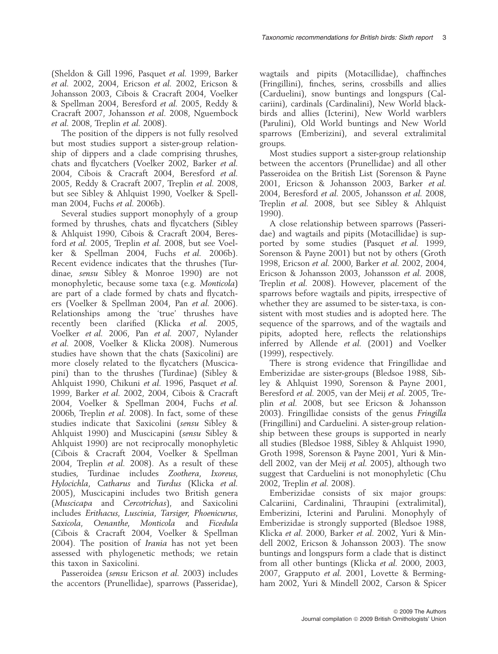(Sheldon & Gill 1996, Pasquet et al. 1999, Barker et al. 2002, 2004, Ericson et al. 2002, Ericson & Johansson 2003, Cibois & Cracraft 2004, Voelker & Spellman 2004, Beresford et al. 2005, Reddy & Cracraft 2007, Johansson et al. 2008, Nguembock et al. 2008, Treplin et al. 2008).

The position of the dippers is not fully resolved but most studies support a sister-group relationship of dippers and a clade comprising thrushes, chats and flycatchers (Voelker 2002, Barker et al. 2004, Cibois & Cracraft 2004, Beresford et al. 2005, Reddy & Cracraft 2007, Treplin et al. 2008, but see Sibley & Ahlquist 1990, Voelker & Spellman 2004, Fuchs et al. 2006b).

Several studies support monophyly of a group formed by thrushes, chats and flycatchers (Sibley & Ahlquist 1990, Cibois & Cracraft 2004, Beresford et al. 2005, Treplin et al. 2008, but see Voelker & Spellman 2004, Fuchs et al. 2006b). Recent evidence indicates that the thrushes (Turdinae, sensu Sibley & Monroe 1990) are not monophyletic, because some taxa (e.g. Monticola) are part of a clade formed by chats and flycatchers (Voelker & Spellman 2004, Pan et al. 2006). Relationships among the 'true' thrushes have recently been clarified (Klicka et al. 2005, Voelker et al. 2006, Pan et al. 2007, Nylander et al. 2008, Voelker & Klicka 2008). Numerous studies have shown that the chats (Saxicolini) are more closely related to the flycatchers (Muscicapini) than to the thrushes (Turdinae) (Sibley & Ahlquist 1990, Chikuni et al. 1996, Pasquet et al. 1999, Barker et al. 2002, 2004, Cibois & Cracraft 2004, Voelker & Spellman 2004, Fuchs et al. 2006b, Treplin et al. 2008). In fact, some of these studies indicate that Saxicolini (sensu Sibley & Ahlquist 1990) and Muscicapini (sensu Sibley & Ahlquist 1990) are not reciprocally monophyletic (Cibois & Cracraft 2004, Voelker & Spellman 2004, Treplin et al. 2008). As a result of these studies, Turdinae includes Zoothera, Ixoreus, Hylocichla, Catharus and Turdus (Klicka et al. 2005), Muscicapini includes two British genera (Muscicapa and Cercotrichas), and Saxicolini includes Erithacus, Luscinia, Tarsiger, Phoenicurus, Saxicola, Oenanthe, Monticola and Ficedula (Cibois & Cracraft 2004, Voelker & Spellman 2004). The position of *Irania* has not yet been assessed with phylogenetic methods; we retain this taxon in Saxicolini.

Passeroidea (sensu Ericson et al. 2003) includes the accentors (Prunellidae), sparrows (Passeridae), wagtails and pipits (Motacillidae), chaffinches (Fringillini), finches, serins, crossbills and allies (Carduelini), snow buntings and longspurs (Calcariini), cardinals (Cardinalini), New World blackbirds and allies (Icterini), New World warblers (Parulini), Old World buntings and New World sparrows (Emberizini), and several extralimital groups.

Most studies support a sister-group relationship between the accentors (Prunellidae) and all other Passeroidea on the British List (Sorenson & Payne 2001, Ericson & Johansson 2003, Barker et al. 2004, Beresford et al. 2005, Johansson et al. 2008, Treplin et al. 2008, but see Sibley & Ahlquist 1990).

A close relationship between sparrows (Passeridae) and wagtails and pipits (Motacillidae) is supported by some studies (Pasquet et al. 1999, Sorenson & Payne 2001) but not by others (Groth 1998, Ericson et al. 2000, Barker et al. 2002, 2004, Ericson & Johansson 2003, Johansson et al. 2008, Treplin et al. 2008). However, placement of the sparrows before wagtails and pipits, irrespective of whether they are assumed to be sister-taxa, is consistent with most studies and is adopted here. The sequence of the sparrows, and of the wagtails and pipits, adopted here, reflects the relationships inferred by Allende et al. (2001) and Voelker (1999), respectively.

There is strong evidence that Fringillidae and Emberizidae are sister-groups (Bledsoe 1988, Sibley & Ahlquist 1990, Sorenson & Payne 2001, Beresford et al. 2005, van der Meij et al. 2005, Treplin et al. 2008, but see Ericson & Johansson 2003). Fringillidae consists of the genus Fringilla (Fringillini) and Carduelini. A sister-group relationship between these groups is supported in nearly all studies (Bledsoe 1988, Sibley & Ahlquist 1990, Groth 1998, Sorenson & Payne 2001, Yuri & Mindell 2002, van der Meij et al. 2005), although two suggest that Carduelini is not monophyletic (Chu 2002, Treplin et al. 2008).

Emberizidae consists of six major groups: Calcariini, Cardinalini, Thraupini (extralimital), Emberizini, Icterini and Parulini. Monophyly of Emberizidae is strongly supported (Bledsoe 1988, Klicka et al. 2000, Barker et al. 2002, Yuri & Mindell 2002, Ericson & Johansson 2003). The snow buntings and longspurs form a clade that is distinct from all other buntings (Klicka et al. 2000, 2003, 2007, Grapputo et al. 2001, Lovette & Bermingham 2002, Yuri & Mindell 2002, Carson & Spicer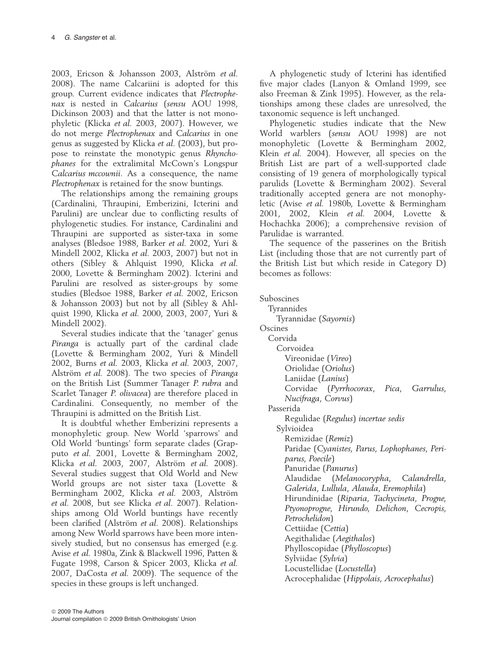2003, Ericson & Johansson 2003, Alström et al. 2008). The name Calcariini is adopted for this group. Current evidence indicates that Plectrophenax is nested in Calcarius (sensu AOU 1998, Dickinson 2003) and that the latter is not monophyletic (Klicka et al. 2003, 2007). However, we do not merge Plectrophenax and Calcarius in one genus as suggested by Klicka et al. (2003), but propose to reinstate the monotypic genus Rhynchophanes for the extralimital McCown's Longspur Calcarius mccownii. As a consequence, the name Plectrophenax is retained for the snow buntings.

The relationships among the remaining groups (Cardinalini, Thraupini, Emberizini, Icterini and Parulini) are unclear due to conflicting results of phylogenetic studies. For instance, Cardinalini and Thraupini are supported as sister-taxa in some analyses (Bledsoe 1988, Barker et al. 2002, Yuri & Mindell 2002, Klicka et al. 2003, 2007) but not in others (Sibley & Ahlquist 1990, Klicka et al. 2000, Lovette & Bermingham 2002). Icterini and Parulini are resolved as sister-groups by some studies (Bledsoe 1988, Barker et al. 2002, Ericson & Johansson 2003) but not by all (Sibley & Ahlquist 1990, Klicka et al. 2000, 2003, 2007, Yuri & Mindell 2002).

Several studies indicate that the 'tanager' genus Piranga is actually part of the cardinal clade (Lovette & Bermingham 2002, Yuri & Mindell 2002, Burns et al. 2003, Klicka et al. 2003, 2007, Alström et al. 2008). The two species of Piranga on the British List (Summer Tanager P. rubra and Scarlet Tanager P. olivacea) are therefore placed in Cardinalini. Consequently, no member of the Thraupini is admitted on the British List.

It is doubtful whether Emberizini represents a monophyletic group. New World 'sparrows' and Old World 'buntings' form separate clades (Grapputo et al. 2001, Lovette & Bermingham 2002, Klicka et al. 2003, 2007, Alström et al. 2008). Several studies suggest that Old World and New World groups are not sister taxa (Lovette & Bermingham 2002, Klicka et al. 2003, Alström et al. 2008, but see Klicka et al. 2007). Relationships among Old World buntings have recently been clarified (Alström et al. 2008). Relationships among New World sparrows have been more intensively studied, but no consensus has emerged (e.g. Avise et al. 1980a, Zink & Blackwell 1996, Patten & Fugate 1998, Carson & Spicer 2003, Klicka et al. 2007, DaCosta et al. 2009). The sequence of the species in these groups is left unchanged.

A phylogenetic study of Icterini has identified five major clades (Lanyon & Omland 1999, see also Freeman & Zink 1995). However, as the relationships among these clades are unresolved, the taxonomic sequence is left unchanged.

Phylogenetic studies indicate that the New World warblers (sensu AOU 1998) are not monophyletic (Lovette & Bermingham 2002, Klein et al. 2004). However, all species on the British List are part of a well-supported clade consisting of 19 genera of morphologically typical parulids (Lovette & Bermingham 2002). Several traditionally accepted genera are not monophyletic (Avise et al. 1980b, Lovette & Bermingham 2001, 2002, Klein et al. 2004, Lovette & Hochachka 2006); a comprehensive revision of Parulidae is warranted.

The sequence of the passerines on the British List (including those that are not currently part of the British List but which reside in Category D) becomes as follows:

Suboscines

Tyrannides Tyrannidae (Sayornis) Oscines Corvida Corvoidea Vireonidae (Vireo) Oriolidae (Oriolus) Laniidae (Lanius) Corvidae (Pyrrhocorax, Pica, Garrulus, Nucifraga, Corvus) Passerida Regulidae (Regulus) incertae sedis Sylvioidea Remizidae (Remiz) Paridae (Cyanistes, Parus, Lophophanes, Periparus, Poecile) Panuridae (Panurus) Alaudidae (Melanocorypha, Calandrella, Galerida, Lullula, Alauda, Eremophila) Hirundinidae (Riparia, Tachycineta, Progne, Ptyonoprogne, Hirundo, Delichon, Cecropis, Petrochelidon) Cettiidae (Cettia) Aegithalidae (Aegithalos) Phylloscopidae (Phylloscopus) Sylviidae (Sylvia) Locustellidae (Locustella) Acrocephalidae (Hippolais, Acrocephalus)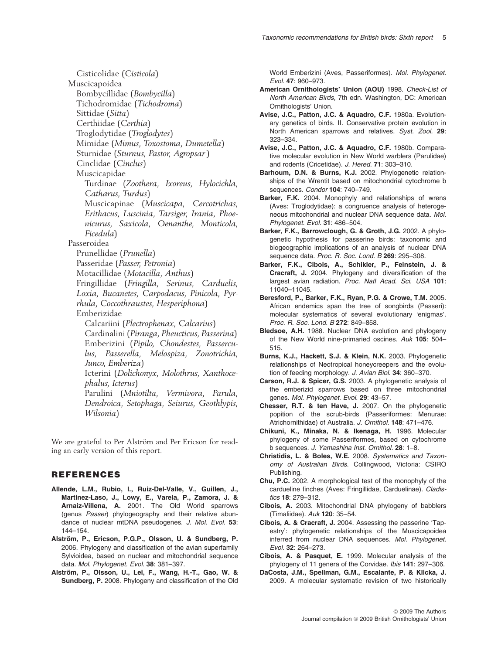Cisticolidae (Cisticola) Muscicapoidea Bombycillidae (Bombycilla) Tichodromidae (Tichodroma) Sittidae (Sitta) Certhiidae (Certhia) Troglodytidae (Troglodytes) Mimidae (Mimus, Toxostoma, Dumetella) Sturnidae (Sturnus, Pastor, Agropsar) Cinclidae (Cinclus) Muscicapidae Turdinae (Zoothera, Ixoreus, Hylocichla, Catharus, Turdus) Muscicapinae (Muscicapa, Cercotrichas, Erithacus, Luscinia, Tarsiger, Irania, Phoenicurus, Saxicola, Oenanthe, Monticola, Ficedula) Passeroidea Prunellidae (Prunella) Passeridae (Passer, Petronia) Motacillidae (Motacilla, Anthus) Fringillidae (Fringilla, Serinus, Carduelis, Loxia, Bucanetes, Carpodacus, Pinicola, Pyrrhula, Coccothraustes, Hesperiphona) Emberizidae Calcariini (Plectrophenax, Calcarius) Cardinalini (Piranga, Pheucticus, Passerina) Emberizini (Pipilo, Chondestes, Passerculus, Passerella, Melospiza, Zonotrichia, Junco, Emberiza) Icterini (Dolichonyx, Molothrus, Xanthocephalus, Icterus) Parulini (Mniotilta, Vermivora, Parula, Dendroica, Setophaga, Seiurus, Geothlypis, Wilsonia)

We are grateful to Per Alström and Per Ericson for reading an early version of this report.

## REFERENCES

- Allende, L.M., Rubio, I., Ruiz-Del-Valle, V., Guillen, J., Martinez-Laso, J., Lowy, E., Varela, P., Zamora, J. & Arnaiz-Villena, A. 2001. The Old World sparrows (genus Passer) phylogeography and their relative abundance of nuclear mtDNA pseudogenes. J. Mol. Evol. 53: 144–154.
- Alström, P., Ericson, P.G.P., Olsson, U. & Sundberg, P. 2006. Phylogeny and classification of the avian superfamily Sylvioidea, based on nuclear and mitochondrial sequence data. Mol. Phylogenet. Evol. 38: 381-397.
- Alström, P., Olsson, U., Lei, F., Wang, H.-T., Gao, W. & Sundberg, P. 2008. Phylogeny and classification of the Old

World Emberizini (Aves, Passeriformes). Mol. Phylogenet. Evol. 47: 960–973.

- American Ornithologists' Union (AOU) 1998. Check-List of North American Birds, 7th edn. Washington, DC: American Ornithologists' Union.
- Avise, J.C., Patton, J.C. & Aquadro, C.F. 1980a. Evolutionary genetics of birds. II. Conservative protein evolution in North American sparrows and relatives. Syst. Zool. 29: 323–334.
- Avise, J.C., Patton, J.C. & Aquadro, C.F. 1980b. Comparative molecular evolution in New World warblers (Parulidae) and rodents (Cricetidae). J. Hered. 71: 303–310.
- Barhoum, D.N. & Burns, K.J. 2002. Phylogenetic relationships of the Wrentit based on mitochondrial cytochrome b sequences. Condor 104: 740–749.
- Barker, F.K. 2004. Monophyly and relationships of wrens (Aves: Troglodytidae): a congruence analysis of heterogeneous mitochondrial and nuclear DNA sequence data. Mol. Phylogenet. Evol. 31: 486–504.
- Barker, F.K., Barrowclough, G. & Groth, J.G. 2002. A phylogenetic hypothesis for passerine birds: taxonomic and biogeographic implications of an analysis of nuclear DNA sequence data. Proc. R. Soc. Lond. B 269: 295-308.
- Barker, F.K., Cibois, A., Schikler, P., Feinstein, J. & Cracraft, J. 2004. Phylogeny and diversification of the largest avian radiation. Proc. Natl Acad. Sci. USA 101: 11040–11045.
- Beresford, P., Barker, F.K., Ryan, P.G. & Crowe, T.M. 2005. African endemics span the tree of songbirds (Passeri): molecular systematics of several evolutionary 'enigmas'. Proc. R. Soc. Lond. B 272: 849–858.
- Bledsoe, A.H. 1988. Nuclear DNA evolution and phylogeny of the New World nine-primaried oscines. Auk 105: 504– 515.
- Burns, K.J., Hackett, S.J. & Klein, N.K. 2003. Phylogenetic relationships of Neotropical honeycreepers and the evolution of feeding morphology. J. Avian Biol. 34: 360–370.
- Carson, R.J. & Spicer, G.S. 2003. A phylogenetic analysis of the emberizid sparrows based on three mitochondrial genes. Mol. Phylogenet. Evol. 29: 43–57.
- Chesser, R.T. & ten Have, J. 2007. On the phylogenetic popition of the scrub-birds (Passeriformes: Menurae: Atrichornithidae) of Australia. J. Ornithol. 148: 471–476.
- Chikuni, K., Minaka, N. & Ikenaga, H. 1996. Molecular phylogeny of some Passeriformes, based on cytochrome b sequences. J. Yamashina Inst. Ornithol. 28: 1–8.
- Christidis, L. & Boles, W.E. 2008. Systematics and Taxonomy of Australian Birds. Collingwood, Victoria: CSIRO Publishing.
- Chu, P.C. 2002. A morphological test of the monophyly of the cardueline finches (Aves: Fringillidae, Carduelinae). Cladistics 18: 279–312.
- Cibois, A. 2003. Mitochondrial DNA phylogeny of babblers (Timaliidae). Auk 120: 35–54.
- Cibois, A. & Cracraft, J. 2004. Assessing the passerine 'Tapestry': phylogenetic relationships of the Muscicapoidea inferred from nuclear DNA sequences. Mol. Phylogenet. Evol. 32: 264–273.
- Cibois, A. & Pasquet, E. 1999. Molecular analysis of the phylogeny of 11 genera of the Corvidae. Ibis 141: 297–306.
- DaCosta, J.M., Spellman, G.M., Escalante, P. & Klicka, J. 2009. A molecular systematic revision of two historically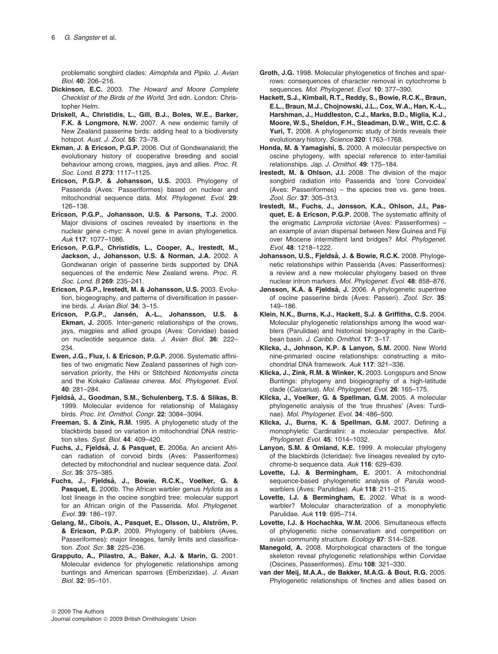problematic songbird clades: Aimophila and Pipilo. J. Avian Biol. 40: 206–216.

- Dickinson, E.C. 2003. The Howard and Moore Complete Checklist of the Birds of the World, 3rd edn. London: Christopher Helm.
- Driskell, A., Christidis, L., Gill, B.J., Boles, W.E., Barker, F.K. & Longmore, N.W. 2007. A new endemic family of New Zealand passerine birds: adding heat to a biodiversity hotspot. Aust. J. Zool. 55: 73–78.
- Ekman, J. & Ericson, P.G.P. 2006. Out of Gondwanaland; the evolutionary history of cooperative breeding and social behaviour among crows, magpies, jays and allies. Proc. R. Soc. Lond. B 273: 1117–1125.
- Ericson, P.G.P. & Johansson, U.S. 2003. Phylogeny of Passerida (Aves: Passeriformes) based on nuclear and mitochondrial sequence data. Mol. Phylogenet. Evol. 29: 126–138.
- Ericson, P.G.P., Johansson, U.S. & Parsons, T.J. 2000. Major divisions of oscines revealed by insertions in the nuclear gene c-myc: A novel gene in avian phylogenetics. Auk 117: 1077–1086.
- Ericson, P.G.P., Christidis, L., Cooper, A., Irestedt, M., Jackson, J., Johansson, U.S. & Norman, J.A. 2002. A Gondwanan origin of passerine birds supported by DNA sequences of the endemic New Zealand wrens. Proc. R. Soc. Lond. B 269: 235–241.
- Ericson, P.G.P., Irestedt, M. & Johansson, U.S. 2003. Evolution, biogeography, and patterns of diversification in passerine birds. J. Avian Biol. 34: 3–15.
- Ericson, P.G.P., Jansén, A.-L., Johansson, U.S. & Ekman, J. 2005. Inter-generic relationships of the crows, jays, magpies and allied groups (Aves: Corvidae) based on nucleotide sequence data. J. Avian Biol. 36: 222– 234.
- Ewen, J.G., Flux, I. & Ericson, P.G.P. 2006. Systematic affinities of two enigmatic New Zealand passerines of high conservation priority, the Hihi or Stitchbird Notiomystis cincta and the Kokako Callaeas cinerea. Mol. Phylogenet. Evol. 40: 281–284.
- Fjeldså, J., Goodman, S.M., Schulenberg, T.S. & Slikas, B. 1999. Molecular evidence for relationship of Malagasy birds. Proc. Int. Ornithol. Congr. 22: 3084–3094.
- Freeman, S. & Zink, R.M. 1995. A phylogenetic study of the blackbirds based on variation in mitochondrial DNA restriction sites. Syst. Biol. 44: 409–420.
- Fuchs, J., Fjeldså, J. & Pasquet, E. 2006a. An ancient African radiation of corvoid birds (Aves: Passeriformes) detected by mitochondrial and nuclear sequence data. Zool. Scr. 35: 375–385.
- Fuchs, J., Fjeldså, J., Bowie, R.C.K., Voelker, G. & Pasquet, E. 2006b. The African warbler genus Hyliota as a lost lineage in the oscine songbird tree: molecular support for an African origin of the Passerida. Mol. Phylogenet. Evol. 39: 186–197.
- Gelang, M., Cibois, A., Pasquet, E., Olsson, U., Alström, P. & Ericson, P.G.P. 2009. Phylogeny of babblers (Aves, Passeriformes): major lineages, family limits and classification. Zool. Scr. 38: 225-236.
- Grapputo, A., Pilastro, A., Baker, A.J. & Marin, G. 2001. Molecular evidence for phylogenetic relationships among buntings and American sparrows (Emberizidae). J. Avian Biol. 32: 95–101.
- Groth, J.G. 1998. Molecular phylogenetics of finches and sparrows: consequences of character removal in cytochrome b sequences. Mol. Phylogenet. Evol. 10: 377-390.
- Hackett, S.J., Kimball, R.T., Reddy, S., Bowie, R.C.K., Braun, E.L., Braun, M.J., Chojnowski, J.L., Cox, W.A., Han, K.-L., Harshman, J., Huddleston, C.J., Marks, B.D., Miglia, K.J., Moore, W.S., Sheldon, F.H., Steadman, D.W., Witt, C.C. & Yuri, T. 2008. A phylogenomic study of birds reveals their evolutionary history. Science 320: 1763–1768.
- Honda, M. & Yamagishi, S. 2000. A molecular perspective on oscine phylogeny, with special reference to inter-familial relationships. Jap. J. Ornithol. 49: 175–184.
- Irestedt, M. & Ohlson, J.I. 2008. The division of the major songbird radiation into Passerida and 'core Corvoidea' (Aves: Passeriformes) – the species tree vs. gene trees. Zool. Scr. 37: 305–313.
- Irestedt, M., Fuchs, J., Jønsson, K.A., Ohlson, J.I., Pasquet, E. & Ericson, P.G.P. 2008. The systematic affinity of the enigmatic Lamprolia victoriae (Aves: Passeriformes) – an example of avian dispersal between New Guinea and Fiji over Miocene intermittent land bridges? Mol. Phylogenet. Evol. 48: 1218–1222.
- Johansson, U.S., Fjeldså, J. & Bowie, R.C.K. 2008. Phylogenetic relationships within Passerida (Aves: Passeriformes): a review and a new molecular phylogeny based on three nuclear intron markers. Mol. Phylogenet. Evol. 48: 858–876.
- Jønsson, K.A. & Fjeldså, J. 2006. A phylogenetic supertree of oscine passerine birds (Aves: Passeri). Zool. Scr. 35: 149–186.
- Klein, N.K., Burns, K.J., Hackett, S.J. & Griffiths, C.S. 2004. Molecular phylogenetic relationships among the wood warblers (Parulidae) and historical biogeography in the Caribbean basin. J. Caribb. Ornithol. 17: 3–17.
- Klicka, J., Johnson, K.P. & Lanyon, S.M. 2000. New World nine-primaried oscine relationships: constructing a mitochondrial DNA framework. Auk 117: 321–336.
- Klicka, J., Zink, R.M. & Winker, K. 2003. Longspurs and Snow Buntings: phylogeny and biogeography of a high-latitude clade (Calcarius). Mol. Phylogenet. Evol. 26: 165–175.
- Klicka, J., Voelker, G. & Spellman, G.M. 2005. A molecular phylogenetic analysis of the 'true thrushes' (Aves: Turdinae). Mol. Phylogenet. Evol. 34: 486–500.
- Klicka, J., Burns, K. & Spellman, G.M. 2007. Defining a monophyletic Cardinalini: a molecular perspective. Mol. Phylogenet. Evol. 45: 1014–1032.
- Lanyon, S.M. & Omland, K.E. 1999. A molecular phylogeny of the blackbirds (Icteridae): five lineages revealed by cytochrome-b sequence data. Auk 116: 629–639.
- Lovette, I.J. & Bermingham, E. 2001. A mitochondrial sequence-based phylogenetic analysis of Parula woodwarblers (Aves: Parulidae). Auk 118: 211–215.
- Lovette, I.J. & Bermingham, E. 2002. What is a woodwarbler? Molecular characterization of a monophyletic Parulidae. Auk 119: 695–714.
- Lovette, I.J. & Hochachka, W.M. 2006. Simultaneous effects of phylogenetic niche conservatism and competition on avian community structure. Ecology 87: S14–S28.
- Manegold, A. 2008. Morphological characters of the tongue skeleton reveal phylogenetic relationships within Corvidae (Oscines, Passeriformes). Emu 108: 321–330.
- van der Meij, M.A.A., de Bakker, M.A.G. & Bout, R.G. 2005. Phylogenetic relationships of finches and allies based on